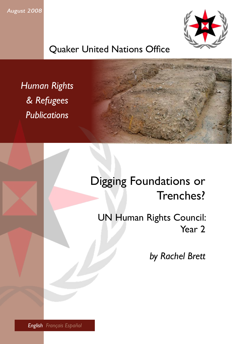*August 2008*



Quaker United Nations Office

*Human Rights & Refugees Publications*

# Digging Foundations or Trenches?

UN Human Rights Council: Year 2

*by Rachel Brett*

*English Français Español*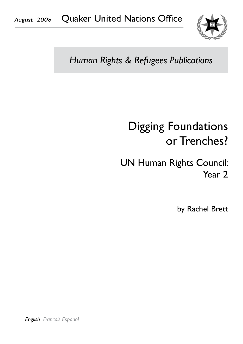

# *Human Rights & Refugees Publications*

# Digging Foundations or Trenches?

# UN Human Rights Council: Year 2

by Rachel Brett

*English Francais Espanol*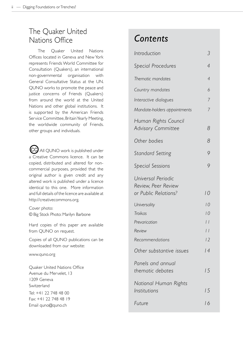### The Quaker United Nations Office

The Quaker United Nations Offices located in Geneva and New York represents Friends World Committee for Consultation (Quakers), an international non-governmental organisation with General Consultative Status at the UN. QUNO works to promote the peace and justice concerns of Friends (Quakers) from around the world at the United Nations and other global institutions. It is supported by the American Friends Service Committee, Britain Yearly Meeting, the worldwide community of Friends. other groups and individuals.

 $\operatorname{CG}$  All QUNO work is published under a Creative Commons licence. It can be copied, distributed and altered for noncommercial purposes, provided that the original author is given credit and any altered work is published under a licence identical to this one. More information and full details of the licence are available at http://creativecommons.org.

Cover photo: © Big Stock Photo: Marilyn Barbone

Hard copies of this paper are available from QUNO on request.

Copies of all QUNO publications can be downloaded from our website:

#### www.quno.org

Quaker United Nations Office Avenue du Mervelet, 13 1209 Geneva **Switzerland** Tel: +41 22 748 48 00 Fax: +41 22 748 48 19 Email quno@quno.ch

## *Contents*

| Introduction                                                      | 3               |
|-------------------------------------------------------------------|-----------------|
| <b>Special Procedures</b>                                         | 4               |
| Thematic mandates                                                 | $\overline{4}$  |
| Country mandates                                                  | 6               |
| Interactive dialogues                                             | 7               |
| Mandate-holders appointments                                      | 7               |
| Human Rights Council<br><b>Advisory Committee</b>                 | 8               |
| Other bodies                                                      | 8               |
| <b>Standard Setting</b>                                           | 9               |
| <b>Special Sessions</b>                                           | 9               |
| Universal Periodic<br>Review, Peer Review<br>or Public Relations? | 10              |
| Universality                                                      | 10              |
| Troikas                                                           | 10              |
| Prevarication                                                     | $\vert \vert$   |
| Review                                                            | $\vert \ \vert$ |
| Recommendations                                                   | 12              |
| Other substantive issues                                          | 14              |
| Panels and annual<br>thematic debates                             | 15              |
| National Human Rights<br>Institutions                             | 15              |
| Future                                                            | 16              |
|                                                                   |                 |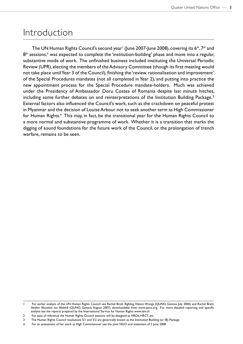### Introduction

The UN Human Rights Council's second year<sup>1</sup> (June 2007-June 2008), covering its 6<sup>th</sup>, 7<sup>th</sup> and  $8<sup>th</sup>$  sessions,<sup>2</sup> was expected to complete the 'institution-building' phase and move into a regular, substantive mode of work. The unfinished business included instituting the Universal Periodic Review (UPR), electing the members of the Advisory Committee (though its first meeting would not take place until Year 3 of the Council), finishing the 'review, rationalisation and improvement' of the Special Procedures mandates (not all completed in Year 2), and putting into practice the new appointment process for the Special Procedure mandate-holders. Much was achieved under the Presidency of Ambassador Doru Costea of Romania despite last minute hitches, including some further debates on and reinterpretations of the Institution Building Package.<sup>3</sup> External factors also influenced the Council's work, such as the crackdown on peaceful protest in Myanmar and the decision of Louise Arbour not to seek another term as High Commissioner for Human Rights.<sup>4</sup> This may, in fact, be the transitional year for the Human Rights Council to a more normal and substantive programme of work. Whether it is a transition that marks the digging of sound foundations for the future work of the Council, or the prolongation of trench warfare, remains to be seen.

<sup>1</sup> For earlier analysis of the UN Human Rights Council see Rachel Brett: *Righting Historic Wrongs* (QUNO, Geneva, July 2006) and Rachel Brett: *Neither Mountain nor Molehill* (QUNO, Geneva, August 2007), downloadable from www.quno.org. For more detailed reporting and specific analysis see the reports prepared by the International Service for Human Rights www.ishr.ch

<sup>2</sup> For ease of reference the Human Rights Council sessions will be designed as HRC6, HRC7, etc.

<sup>3</sup> The Human Rights Council resolutions 5/1 and 5/2 are generically known as the Institution Building (or IB) Package

<sup>4</sup> For an assessment of her work as High Commissioner see the joint NGO oral statement of 2 June 2008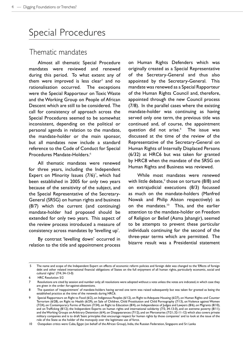## Special Procedures

#### Thematic mandates

Almost all thematic Special Procedure mandates were reviewed and renewed during this period. To what extent any of them were improved is less clear<sup>5</sup> and no rationalisation occurred. The exceptions were the Special Rapporteur on Toxic Waste and the Working Group on People of African Descent which are still to be considered. The call for consistency of approach across the Special Procedures seemed to be somewhat inconsistent, depending on the political or personal agenda in relation to the mandate, the mandate-holder or the main sponsor, but all mandates now include a standard reference to the Code of Conduct for Special Procedures Mandate-Holders.<sup>6</sup>

All thematic mandates were renewed for three years, including the Independent Expert on Minority Issues  $(7/6)^7$ , which had been established in 2005 for only two years because of the sensitivity of the subject, and the Special Representative of the Secretary-General (SRSG) on human rights and business (8/7) which the current (and continuing) mandate-holder had proposed should be extended for only two years. This aspect of the review process introduced a measure of consistency across mandates by 'levelling up'.

By contrast 'levelling down' occurred in relation to the title and appointment process on Human Rights Defenders which was originally created as a Special Representative of the Secretary-General and thus also appointed by the Secretary-General. This mandate was renewed as a Special Rapporteur of the Human Rights Council and, therefore, appointed through the new Council process (7/8). In the parallel cases where the existing mandate-holder was continuing as having served only one term, the previous title was continued and, of course, the appointment question did not arise.<sup>8</sup> The issue was discussed at the time of the review of the Representative of the Secretary-General on Human Rights of Internally Displaced Persons (6/32) at HRC6 but was taken for granted by HRC8 when the mandate of the SRSG on Human Rights and Business was reviewed.

While most mandates were renewed with little debate, $9$  those on torture (8/8) and on extrajudicial executions (8/3) focussed as much on the mandate-holders (Manfred Nowak and Philip Alston respectively) as on the mandates. $10$  This, and the earlier attention to the mandate-holder on Freedom of Religion or Belief (Asma Jahangir), seemed to be attempts to prevent these particular individuals continuing for the second of the three-year terms which are permitted. The bizarre result was a Presidential statement

10 Outspoken critics were Cuba, Egypt (on behalf of the African Group), India, the Russian Federation, Singapore and Sri Lanka

The name and scope of the Independent Expert on effects of economic reform policies and foreign debt was changed to the 'Effects of foreign debt and other related international financial obligations of States on the full enjoyment of all human rights, particularly economic, social and cultural rights' (7/4; 34-13-0)

<sup>6</sup> HRC Resolution 5/2

<sup>7</sup> Resolutions are cited by session and number only; all resolutions were adopted without a vote unless the votes are indicated, in which case they are given in the order: for-against-abstentions.

<sup>8</sup> The question of 'reappointment' of mandate-holders having served one term was raised subsequently but was taken for granted as being the established practice at the time of the renewals during HRC6.

<sup>9</sup> Special Rapporteurs on Right to Food (6/2), on Indigenous Peoples (6/12), on Right to Adequate Housing (6/27), on Human Rights and Counter Terrorism (6/28), on Right to Health (6/29), on Sale of Children, Child Prostitution and Child Pornography (7/13), on Violence against Women (7/24), on Contemporary Forms of Racism (7/34), on Right to Education (8/4), on Independence of Judges and Lawyers (8/6), on Migrants (8/10), and on Trafficking (8/12); the Independent Experts on human rights and international solidarity (7/5; 34-13-0), and on extreme poverty (8/11); and the Working Groups on Arbitrary Detention (6/4), on Disappearances (7/12), and on Mercenaries (7/21; 32-11-12) which also covers private military companies and is to draft 'basic principles that encourage respect for human rights by those companies' and to look at the issue of the role of the State as the holder of the monopoly over the legitimate use of force.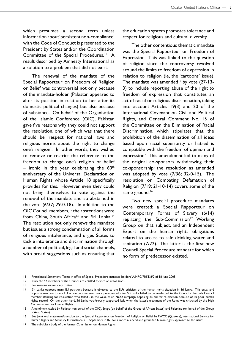which presumes a second term unless information about 'persistent non-compliance' with the Code of Conduct is presented to the President by States and/or the Coordination Committee of the Special Procedures.<sup>11</sup> A result described by Amnesty International as a solution to a problem that did not exist.

The renewal of the mandate of the Special Rapporteur on Freedom of Religion or Belief was controversial not only because of the mandate-holder (Pakistan appeared to alter its position in relation to her after its domestic political changes) but also because of substance. On behalf of the Organisation of the Islamic Conference (OIC), Pakistan gave five reasons why they could not support the resolution, one of which was that there should be 'respect for national laws and religious norms about the right to change one's religion'. In other words, they wished to remove or restrict the reference to the freedom to change one's religion or belief – ironic in the year celebrating the  $60<sup>th</sup>$ anniversary of the Universal Declaration on Human Rights whose Article 18 specifically provides for this. However, even they could not bring themselves to vote against the renewal of the mandate and so abstained in the vote (6/37; 29-0-18). In addition to the OIC Council members,  $12$  the abstentions were from China, South Africa<sup>13</sup> and Sri Lanka.<sup>14</sup> The resolution not only renews the mandate but issues a strong condemnation of all forms of religious intolerance, and urges States to tackle intolerance and discrimination through a number of political, legal and social channels, with broad suggestions such as ensuring that the education system promotes tolerance and respect for religious and cultural diversity.

The other contentious thematic mandate was the Special Rapporteur on Freedom of Expression. This was linked to the question of religion since the controversy revolved around the limits to freedom of expression in relation to religion (ie, the 'cartoons' issue). The mandate was amended<sup>15</sup> by vote  $(27-13-1)$ 3) to include reporting 'abuse of the right to freedom of expression that constitutes an act of racial or religious discrimination, taking into account Articles 19(3) and 20 of the International Covenant on Civil and Political Rights, and General Comment No. 15 of the Committee on the Elimination of Racial Discrimination, which stipulates that the prohibition of the dissemination of all ideas based upon racial superiority or hatred is compatible with the freedom of opinion and expression.' This amendment led to many of the original co-sponsors withdrawing their co-sponsorship: the resolution as amended was adopted by vote (7/36; 32-0-15). The resolution on Combating Defamation of Religion (7/19; 21-10-14) covers some of the same ground.<sup>16</sup>

Two new special procedure mandates were created: a Special Rapporteur on Contemporary Forms of Slavery (6/14) replacing the Sub-Commission<sup>17</sup> Working Group on that subject, and an Independent Expert on the human rights obligations related to access to safe drinking water and sanitation (7/22). The latter is the first new Council Special Procedure mandate for which no form of predecessor existed.

<sup>11</sup> Presidential Statement, 'Terms in office of Special Procedure mandate-holders' A/HRC/PRST/8/2 of 18 June 2008

<sup>12</sup> Only the 47 members of the Council are entitled to vote on resolutions

<sup>13</sup> For reasons known only to itself

<sup>14</sup> Sri Lanka opposed many EU positions because it objected to the EU's criticism of the human rights situation in Sri Lanka. This equal and opposite reaction to any EU action became even more pronounced after Sri Lanka failed to be re-elected to the Council - the only Council member standing for re-election who failed - in the wake of an NGO campaign opposing its bid for re-election because of its poor human rights record. On the other hand, Sri Lanka vociferously supported Italy when the latter's treatment of the Roma was criticised by the High Commissioner for Human Rights.

<sup>15</sup> Amendment tabled by Pakistan (on behalf of the OIC), Egypt (on behalf of the Group of African States) and Palestine (on behalf of the Group of Arab States)

<sup>16</sup> See joint oral statement/question to the Special Rapporteur on Freedom of Religion or Belief by FWCC (Quakers), International Service for Human Rights and Amnesty International (13 September 2007) for a more nuanced and grounded human rights approach to the issues.

<sup>17</sup> The subsidiary body of the former Commission on Human Rights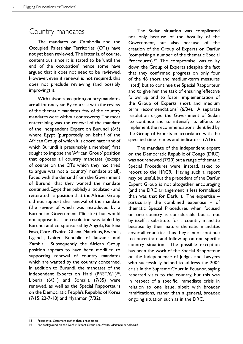### Country mandates

The mandates on Cambodia and the Occupied Palestinian Territories (OTs) have not yet been reviewed. The latter is, of course, contentious since it is stated to be 'until the end of the occupation' hence some have argued that it does not need to be reviewed. However, even if renewal is not required, this does not preclude reviewing (and possibly improving) it.

With this one exception, country mandates are all for one year. By contrast with the review of the thematic mandates, few of the country mandates were without controversy. The most entertaining was the renewal of the mandate of the Independent Expert on Burundi (6/5) where Egypt (purportedly on behalf of the African Group of which it is coordinator and of which Burundi is presumably a member) first sought to impose the 'African Group' position that opposes all country mandates (except of course on the OTs which they had tried to argue was not a 'country' mandate at all). Faced with the demand from the Government of Burundi that they wanted the mandate continued, Egypt then publicly articulated - and reiterated - a position that the African Group did not support the renewal of the mandate (the review of which was introduced by a Burundian Government Minister) but would not oppose it. The resolution was tabled by Burundi and co-sponsored by Angola, Burkina Faso, Côte d'Ivoire, Ghana, Mauritius, Rwanda, Uganda, United Republic of Tanzania and Zambia. Subsequently, the African Group position appears to have been modified to supporting renewal of country mandates which are wanted by the country concerned. In addition to Burundi, the mandates of the Independent Experts on Haiti (PRST/6/1)<sup>18</sup>, Liberia (6/31) and Somalia (7/35) were renewed, as well as the Special Rapporteurs on the Democratic People's Republic of Korea (7/15; 22-7-18) and Myanmar (7/32).

The Sudan situation was complicated not only because of the hostility of the Government, but also because of the creation of the Group of Experts on Darfur (comprising a number of the thematic Special Procedures).<sup>19</sup> The 'compromise' was to lay down the Group of Experts (despite the fact that they confirmed progress on only four of the 46 short and medium-term measures listed) but to continue the Special Rapporteur and to give her the task of ensuring 'effective follow up and to foster implementation of the Group of Experts short and medium term recommendations' (6/34). A separate resolution urged the Government of Sudan 'to continue and to intensify its efforts to implement the recommendations identified by the Group of Experts in accordance with the specified time frames and indicators' (7/16).

The mandate of the independent expert on the Democratic Republic of Congo (DRC) was not renewed (7/20) but a range of thematic Special Procedures were, instead, asked to report to the HRC9. Having such a report may be useful, but the precedent of the Darfur Expert Group is not altogether encouraging (and the DRC arrangement is less formalised than was that for Darfur). The expertise – particularly the combined expertise – of thematic Special Procedures when focused on one country is considerable but is not by itself a substitute for a country mandate because by their nature thematic mandates cover all countries, thus they cannot continue to concentrate and follow up on one specific country situation. The possible exception has been the work of the Special Rapporteur on the Independence of Judges and Lawyers who successfully helped to address the 2004 crisis in the Supreme Court in Ecuador, paying repeated visits to the country, but this was in respect of a specific, immediate crisis in relation to one issue, albeit with broader ramifications, rather than a general, broader, ongoing situation such as in the DRC.

<sup>18</sup> Presidential Statement rather than a resolution

<sup>19</sup> For background on the Darfur Expert Group see *Neither Mountain nor Molehill*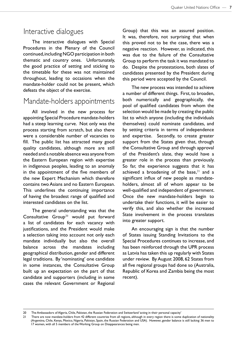#### Interactive dialogues

The interactive dialogues with Special Procedures in the Plenary of the Council continued, including NGO participation in both thematic and country ones. Unfortunately, the good practice of setting and sticking to the timetable for these was not maintained throughout, leading to occasions when the mandate-holder could not be present, which defeats the object of the exercise.

#### Mandate-holders appointments

All involved in the new process for appointing Special Procedure mandate-holders had a steep learning curve. Not only was the process starting from scratch, but also there were a considerable number of vacancies to fill. The public list has attracted many good quality candidates, although more are still needed and a notable absence was anyone from the Eastern European region with expertise in indigenous peoples, leading to an anomaly in the appointment of the five members of the new Expert Mechanism which therefore contains two Asians and no Eastern European. This underlines the continuing importance of having the broadest range of qualified and interested candidates on the list.

The general understanding was that the Consultative Group<sup>20</sup> would put forward a list of candidates for each vacancy with justifications, and the President would make a selection taking into account not only each mandate individually but also the overall balance across the mandates including geographical distribution, gender and different legal traditions. By 'nominating' one candidate in some instances, the Consultative Group built up an expectation on the part of that candidate and supporters (including in some cases the relevant Government or Regional

Group) that this was an assured position. It was, therefore, not surprising that when this proved not to be the case, there was a negative reaction. However, as indicated, this was due to the failure of the Consultative Group to perform the task it was mandated to do. Despite the protestations, both slates of candidates presented by the President during this period were accepted by the Council.

The new process was intended to achieve a number of different things. First, to broaden, both numerically and geographically, the pool of qualified candidates from whom the selection would be made by creating the public list to which anyone (including the individuals themselves) could nominate candidates, and by setting criteria in terms of independence and expertise. Secondly, to create greater support from the States given that, through the Consultative Group and through approval of the President's slate, they would have a greater role in the process than previously. So far, the experience suggests that it has achieved a broadening of the base, $21$  and a significant influx of new people as mandateholders, almost all of whom appear to be well-qualified and independent of government. Once the new mandate-holders begin to undertake their functions, it will be easier to verify this, and also whether the increased State involvement in the process translates into greater support.

An encouraging sign is that the number of States issuing Standing Invitations to the Special Procedures continues to increase, and has been reinforced through the UPR process as Latvia has taken this up regularly with States under review. By August 2008, 62 States from all five regional groups had done so (Australia, Republic of Korea and Zambia being the most recent).

<sup>20</sup> The Ambassadors of Algeria, Chile, Pakistan, the Russian Federation and Switzerland 'acting in their personal capacity'

<sup>21</sup> There are now mandate-holders from 42 different countries from all regions, although in every region there is some duplication of nationality (Argentina, Chile, Kenya, Mexico, Nigeria, Pakistan, Spain, the Russian Federation and USA). However, gender balance is still lacking: 36 men to 17 women, with all 5 members of the Working Group on Disappearances being men.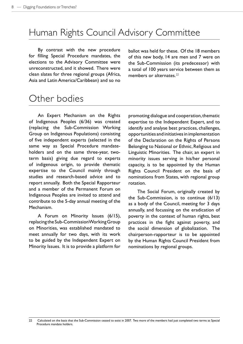# Human Rights Council Advisory Committee

By contrast with the new procedure for filling Special Procedure mandates, the elections to the Advisory Committee were unreconstructed, and it showed. There were clean slates for three regional groups (Africa, Asia and Latin America/Caribbean) and so no

ballot was held for these. Of the 18 members of this new body, 14 are men and 7 were on the Sub-Commission (its predecessor) with a total of 100 years service between them as members or alternates.<sup>22</sup>

# Other bodies

An Expert Mechanism on the Rights of Indigenous Peoples (6/36) was created (replacing the Sub-Commission Working Group on Indigenous Populations) consisting of five independent experts (selected in the same way as Special Procedure mandateholders and on the same three-year, twoterm basis) giving due regard to experts of indigenous origin, to provide thematic expertise to the Council mainly through studies and research-based advice and to report annually. Both the Special Rapporteur and a member of the Permanent Forum on Indigenous Peoples are invited to attend and contribute to the 5-day annual meeting of the Mechanism.

A Forum on Minority Issues (6/15), replacing the Sub-Commission Working Group on Minorities, was established mandated to meet annually for two days, with its work to be guided by the Independent Expert on Minority Issues. It is to provide a platform for

promoting dialogue and cooperation, thematic expertise to the Independent Expert, and to identify and analyse best practices, challenges, opportunities and initiatives in implementation of the Declaration on the Rights of Persons Belonging to National or Ethnic, Religious and Linguistic Minorities. The chair, an expert in minority issues serving in his/her personal capacity, is to be appointed by the Human Rights Council President on the basis of nominations from States, with regional group rotation.

The Social Forum, originally created by the Sub-Commission, is to continue (6/13) as a body of the Council, meeting for 3 days annually, and focussing on the eradication of poverty in the context of human rights, best practices in the fight against poverty, and the social dimension of globalization. The chairperson-rapporteur is to be appointed by the Human Rights Council President from nominations by regional groups.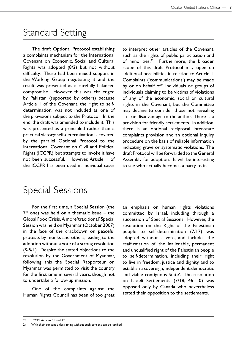### Standard Setting

The draft Optional Protocol establishing a complaints mechanism for the International Covenant on Economic, Social and Cultural Rights was adopted (8/2) but not without difficulty. There had been mixed support in the Working Group negotiating it and the result was presented as a carefully balanced compromise. However, this was challenged by Pakistan (supported by others) because Article 1 of the Covenant, the right to selfdetermination, was not included as one of the provisions subject to the Protocol. In the end, the draft was amended to include it. This was presented as a principled rather than a practical victory: self-determination is covered by the parallel Optional Protocol to the International Covenant on Civil and Political Rights (ICCPR), but attempts to invoke it have not been successful. However, Article 1 of the ICCPR has been used in individual cases

to interpret other articles of the Covenant, such as the rights of public participation and of minorities.<sup>23</sup> Furthermore, the broader scope of this draft Protocol may open up additional possibilities in relation to Article 1. Complaints ('communications') may be made by or on behalf of $24$  individuals or groups of individuals claiming to be victims of violations of any of the economic, social or cultural rights in the Covenant, but the Committee may decline to consider those not revealing a clear disadvantage to the author. There is a provision for friendly settlements. In addition, there is an optional reciprocal inter-state complaints provision and an optional inquiry procedure on the basis of reliable information indicating grave or systematic violations. The draft Protocol will be forwarded to the General Assembly for adoption. It will be interesting to see who actually becomes a party to it.

### Special Sessions

For the first time, a Special Session (the  $7<sup>th</sup>$  one) was held on a thematic issue – the Global Food Crisis. A more 'traditional' Special Session was held on Myanmar (October 2007) in the face of the crackdown on peaceful protests by monks and others, leading to the adoption without a vote of a strong resolution (S-5/1). Despite the stated objections to the resolution by the Government of Myanmar, following this the Special Rapporteur on Myanmar was permitted to visit the country for the first time in several years, though not to undertake a follow-up mission.

One of the complaints against the Human Rights Council has been of too great an emphasis on human rights violations committed by Israel, including through a succession of Special Sessions. However, the resolution on the Right of the Palestinian people to self-determination (7/17) was adopted without a vote, and includes the reaffirmation of 'the inalienable, permanent and unqualified right of the Palestinian people to self-determination, including their right to live in freedom, justice and dignity and to establish a sovereign, independent, democratic and viable contiguous State'. The resolution on Israeli Settlements (7/18; 46-1-0) was opposed only by Canada who nevertheless stated their opposition to the settlements.

<sup>24</sup> With their consent unless acting without such consent can be justified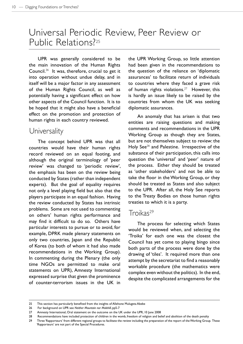### Universal Periodic Review, Peer Review or Public Relations?25

UPR was generally considered to be the main innovation of the Human Rights Council.<sup>26</sup> It was, therefore, crucial to get it into operation without undue delay, and in itself will be a major factor in any assessment of the Human Rights Council, as well as potentially having a significant effect on how other aspects of the Council function. It is to be hoped that it might also have a beneficial effect on the promotion and protection of human rights in each country reviewed.

#### **Universality**

The concept behind UPR was that all countries would have their human rights record reviewed on an equal footing, and although the original terminology of 'peer review' was changed to 'periodic review', the emphasis has been on the review being conducted by States (rather than independent experts). But the goal of equality requires not only a level playing field but also that the players participate in an equal fashion. Having the review conducted by States has intrinsic problems. Some are not used to commenting on others' human rights performance and may find it difficult to do so. Others have particular interests to pursue or to avoid, for example, DPRK made plenary statements on only two countries, Japan and the Republic of Korea (to both of whom it had also made recommendations in the Working Group). In commenting during the Plenary (the only time NGOs are permitted to make oral statements on UPR), Amnesty International expressed surprise that given the prominence of counter-terrorism issues in the UK in

the UPR Working Group, so little attention had been given in the recommendations to the question of the reliance on 'diplomatic assurances' to facilitate return of individuals to countries where they faced a grave risk of human rights violations.<sup>27</sup> However, this is hardly an issue likely to be raised by the countries from whom the UK was seeking diplomatic assurances.

An anomaly that has arisen is that two entities are raising questions and making comments and recommendations in the UPR Working Group as though they are States, but are not themselves subject to review: the Holy See<sup>28</sup> and Palestine. Irrespective of the substance of their participation, this calls into question the 'universal' and 'peer' nature of the process. Either they should be treated as 'other stakeholders' and not be able to take the floor in the Working Group, or they should be treated as States and also subject to the UPR. After all, the Holy See reports to the Treaty Bodies on those human rights treaties to which it is a party.

#### Troikas<sup>29</sup>

The process for selecting which States would be reviewed when, and selecting the 'Troika' for each one was the closest the Council has yet come to playing bingo since both parts of the process were done by the drawing of 'tiles'. It required more than one attempt by the secretariat to find a reasonably workable procedure (the mathematics were complex even without the politics). In the end, despite the complicated arrangements for the

<sup>25</sup> This section has particularly benefited from the insights of Allehone Mulugeta Abebe

<sup>26</sup> For background on UPR see *Neither Mountain nor Molehill*, pp5-7

<sup>27</sup> Amnesty International, Oral statement on the outcome on the UK under the UPR, 10 June 2008

<sup>28</sup> Recommendations have included protection of children in the womb, freedom of religion and belief and abolition of the death penalty

<sup>29</sup> Three 'Rapporteurs' from different regional groups to facilitate the review including the preparation of the report of the Working Group. These 'Rapporteurs' are not part of the Special Procedures.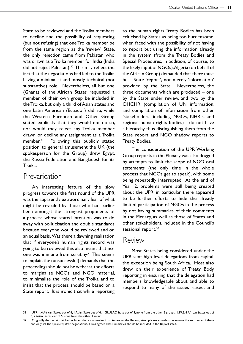State to be reviewed and the Troika members to decline and the possibility of requesting (but not refusing) that one Troika member be from the same region as the 'review' State, the only rejection came from Pakistan who was drawn as a Troika member for India (India did not reject Pakistan). $30$  This may reflect the fact that the negotiations had led to the Troika having a minimalist and mostly technical (not substantive) role. Nevertheless, all but one (Ghana) of the African States requested a member of their own group be included in the Troika, but only a third of Asian states and one Latin American (Ecuador) did so, while the Western European and Other Group stated explicitly that they would not do so, nor would they reject any Troika member drawn or decline any assignment as a Troika member.<sup>31</sup> Following this publicly stated position, to general amusement the UK (the spokesperson for the Group) drew Egypt, the Russia Federation and Bangladesh for its Troika.

#### Prevarication

An interesting feature of the slow progress towards the first round of the UPR was the apparently extraordinary fear of what might be revealed by those who had earlier been amongst the strongest proponents of a process whose stated intention was to do away with politicisation and double standards because everyone would be reviewed and on an equal basis. Was there a dawning realisation that if everyone's human rights record was going to be reviewed this also meant that noone was immune from scrutiny? This seems to explain the (unsuccessful) demands that the proceedings should not be webcast, the efforts to marginalise NGOs and NGO material, to minimalise the role of the Troika and to insist that the process should be based on a State report. It is ironic that while reporting

to the human rights Treaty Bodies has been criticised by States as being too burdensome, when faced with the possibility of not having to report but using the information already in the system (from the Treaty Bodies and Special Procedures, in addition, of course, to the likely input of NGOs), Algeria (on behalf of the African Group) demanded that there must be a State 'report', not merely 'information' provided by the State. Nevertheless, the three documents which are produced – one by the State under review, and two by the OHCHR (compilation of UN information, and compilation of information from other 'stakeholders' including NGOs, NHRIs, and regional human rights bodies) - do not have a hierarchy, thus distinguishing them from the State report and NGO shadow reports to Treaty Bodies.

The consideration of the UPR Working Group reports in the Plenary was also dogged by attempts to limit the scope of NGO oral statements (the only time in the whole process that NGOs get to speak), with some being repeatedly interrupted. At the end of Year 2, problems were still being created about the UPR, in particular there appeared to be further efforts to hide the already limited participation of NGOs in the process by not having summaries of their comments in the Plenary, as well as those of States and other stakeholders, included in the Council's sessional report.<sup>32</sup>

#### Review

Most States being considered under the UPR sent high level delegations from capital, the exception being South Africa. Most also drew on their experience of Treaty Body reporting in ensuring that the delegation had members knowledgeable about and able to respond to many of the issues raised, and

<sup>31</sup> UPR 1: 4 African States out of 4; 1 Asian State out of 4; 1 GRULAC State out of 3; none from the other 2 groups. UPR2: 4 African States out of 5, 2 Asian States out of 5; none from the other 3 groups.

<sup>32</sup> Originally the secretariat had included these summaries in an Annex to the Report; attempts were made to eliminate the substance of these and only list the speakers; after negotiations, it was agreed that summaries should be included in the Report itself.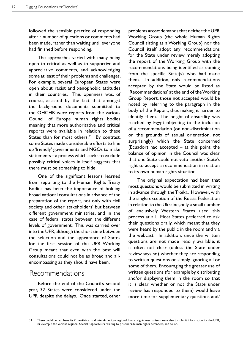followed the sensible practice of responding after a number of questions or comments had been made, rather than waiting until everyone had finished before responding.

The approaches varied with many being open to critical as well as to supportive and appreciative comments, and acknowledging some at least of their problems and challenges. For example, several European States were open about racist and xenophobic attitudes in their countries. This openness was, of course, assisted by the fact that amongst the background documents submitted to the OHCHR were reports from the various Council of Europe human rights bodies meaning that more authoritative and critical reports were available in relation to these States than for most others. $33$  By contrast, some States made considerable efforts to line up 'friendly' governments and NGOs to make statements – a process which seeks to exclude possibly critical voices in itself suggests that there must be something to hide.

One of the significant lessons learned from reporting to the Human Rights Treaty Bodies has been the importance of holding broad national consultations in advance of the preparation of the report, not only with civil society and other 'stakeholders' but between different government ministries, and in the case of federal states between the different levels of government. This was carried over into the UPR, although the short time between the selection and the appearance of States for the first session of the UPR Working Group meant that even with the best will consultations could not be as broad and allencompassing as they should have been.

#### Recommendations

Before the end of the Council's second year, 32 States were considered under the UPR despite the delays. Once started, other problems arose: demands that neither the UPR Working Group (the whole Human Rights Council sitting as a Working Group) nor the Council itself adopt any recommendations for the State under review merely adopting the report of the Working Group with the recommendations being identified as coming from the specific State(s) who had made them. In addition, only recommendations accepted by the State would be listed as 'Recommendations' at the end of the Working Group Report, those not accepted would be noted by referring to the paragraph in the body of the Report, thus making it harder to identify them. The height of absurdity was reached by Egypt objecting to the inclusion of a recommendation (on non-discrimination on the grounds of sexual orientation, not surprisingly) which the State concerned (Ecuador) had accepted – at this point, the balance of opinion in the Council was clear that one State could not veto another State's right to accept a recommendation in relation to its own human rights situation.

The original expectation had been that most questions would be submitted in writing in advance through the Troika. However, with the single exception of the Russia Federation in relation to the Ukraine, only a small number of exclusively Western States used this process at all. Most States preferred to ask their questions orally, which meant that they were heard by the public in the room and via the webcast. In addition, since the written questions are not made readily available, it is often not clear (unless the State under review says so) whether they are responding to written questions or simply ignoring all or some of them. Encouraging the greater use of written questions (for example by distributing and/or displaying them in the room so that it is clear whether or not the State under review has responded to them) would leave more time for supplementary questions and/

<sup>33</sup> There could be real benefits if the African and Inter-American regional human rights mechanisms were also to submit information for the UPR, for example the various regional Special Rapporteurs relating to prisoners, human rights defenders, and so on.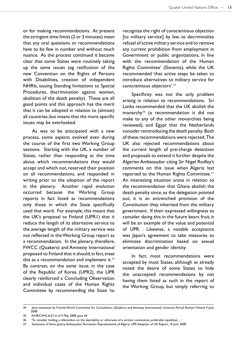or for making recommendations. At present the stringent time limits (2 or 3 minutes) mean that any oral questions or recommendations have to be few in number and without much nuance. As the process continued it became clear that some States were routinely taking up the same issues (eg ratification of the new Convention on the Rights of Persons with Disabilities, creation of independent NHRIs, issuing Standing Invitations to Special Procedures, discrimination against women, abolition of the death penalty). These are all good points and this approach has the merit that it can be adopted in relation to (almost) all countries, but means that the more specific issues may be overlooked.

As was to be anticipated with a new process, some aspects evolved even during the course of the first two Working Group sessions. Starting with the UK, a number of States, rather than responding at the time about which recommendations they would accept and which not, reserved their position on all recommendations, and responded in writing prior to the adoption of the report in the plenary. Another rapid evolution occurred because the Working Group reports in fact listed as recommendations only those in which the State specifically used that word. For example, this meant that the UK's proposal to Finland (UPR1) that it reduce the length of its alternative service to the average length of the military service was not reflected in the Working Group report as a recommendation. In the plenary, therefore, FWCC (Quakers) and Amnesty International proposed to Finland that it should, in fact, treat this as a recommendation and implement it. $34$ By contrast, on the same issue, in the case of the Republic of Korea (UPR2), the UPR clearly reinforced a Concluding Observation and individual cases of the Human Rights Committee by recommending the State 'to

recognize the right of conscientious objection [to military service] by law, to decriminalize refusal of active military service and to remove any current prohibition from employment in Government or public organizations, in line with the recommendation of the Human Rights Committee' (Slovenia), while the UK recommended 'that active steps be taken to introduce alternatives to military service for conscientious objectors'.<sup>35</sup>

Specificity was not the only problem arising in relation to recommendations. Sri Lanka recommended that the UK abolish the monarchy $36$  (a recommendation it did not make to any of the other monarchies being reviewed), and Egypt that the Netherlands consider reintroducing the death penalty. Both of these recommendations were rejected. The UK also rejected recommendations about the current length of pre-charge detention and proposals to extend it further despite the Algerian Ambassador citing Sir Nigel Rodley's comments on this issue when Algeria last reported to the Human Rights Committee.<sup>37</sup> An interesting situation arose in relation to the recommendation that Ghana abolish the death penalty since, as the delegation pointed out, it is an entrenched provision of the Constitution they inherited from the military government. If their expressed willingness to consider doing this in the future bears fruit, it will be an example of the value and potential of UPR. Likewise, a notable acceptance was Japan's agreement to take measures to eliminate discrimination based on sexual orientation and gender identity.

In fact, most recommendations were accepted by most States, although as already noted the desire of some States to hide the unaccepted recommendations by not having them listed as such in the report of the Working Group, but simply referring to

<sup>34</sup> Joint statement by Friends World Committee for Consultation (Quakers) and Amnesty International, Universal Period Review: Finland, 9 June 2008

<sup>35</sup> A/HRC/WG.6/2/1.6 of 9 May 2008, para. 64

<sup>36 &#</sup>x27;To consider holding a referendum on the desirability or otherwise of a written constitution, preferably republican …'

<sup>37</sup> Statement of Idriss Jazairy, Ambassador, Permanent Representative of Algeria, UPR Adoption of UK Report, 10 June 2008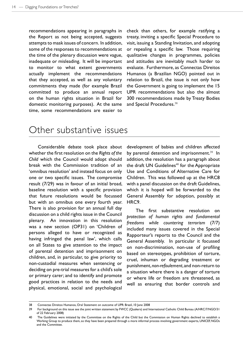recommendations appearing in paragraphs in the Report as not being accepted, suggests attempts to mask issues of concern. In addition, some of the responses to recommendations at the time of the plenary discussion were vague, inadequate or misleading. It will be important to monitor to what extent governments actually implement the recommendations that they accepted, as well as any voluntary commitments they made (for example Brazil committed to produce an annual report on the human rights situation in Brazil for domestic monitoring purposes). At the same time, some recommendations are easier to

check than others, for example ratifying a treaty, inviting a specific Special Procedure to visit, issuing a Standing Invitation, and adopting or repealing a specific law. Those requiring qualitative changes in programmes, policies and attitudes are inevitably much harder to evaluate. Furthermore, as Connectas Direitos Humanos (a Brazilian NGO) pointed out in relation to Brazil, the issue is not only how the Government is going to implement the 15 UPR recommendations but also the almost 300 recommendations made by Treaty Bodies and Special Procedures.<sup>38</sup>

### Other substantive issues

Considerable debate took place about whether the first resolution on the *Rights of the Child* which the Council would adopt should break with the Commission tradition of an 'omnibus resolution' and instead focus on only one or two specific issues. The compromise result (7/29) was in favour of an initial broad, baseline resolution with a specific provision that future resolutions would be focussed but with an omnibus one every fourth year. There is also provision for an annual full day discussion on a child rights issue in the Council plenary. An innovation in this resolution was a new section (OP31) on 'Children of persons alleged to have or recognized as having infringed the penal law', which calls on all States to give attention to the impact of parental detention and imprisonment on children, and, in particular, to give priority to non-custodial measures when sentencing or deciding on pre-trial measures for a child's sole or primary carer; and to identify and promote good practices in relation to the needs and physical, emotional, social and psychological

development of babies and children affected by parental detention and imprisonment.<sup>39</sup> In addition, the resolution has a paragraph about the draft UN Guidelines<sup>40</sup> for the Appropriate Use and Conditions of Alternative Care for Children. This was followed up at the HRC8 with a panel discussion on the draft Guidelines, which it is hoped will be forwarded to the General Assembly for adoption, possibly at HRC9.

The first substantive resolution on *protection of human rights and fundamental freedoms while countering terrorism* (7/7) included many issues covered in the Special Rapporteur's reports to the Council and the General Assembly. In particular it focussed on non-discrimination, non-use of profiling based on stereotypes, prohibition of torture, cruel, inhuman or degrading treatment or punishment, *non-refoulement*, and non-return to a situation where there is a danger of torture or where life or freedom are threatened, as well as ensuring that border controls and

<sup>38</sup> Connectas Direitos Humanos, Oral Statement on outcome of UPR: Brazil, 10 June 2008

<sup>39</sup> For background on this issue see the joint written statement by FWCC (Quakers) and International Catholic Child Bureau (A/HRC/7/NGO/31 of 22 February 2008)

<sup>40</sup> The Guidelines were initiated by the Committee on the Rights of the Child but the Commission on Human Rights declined to establish a Working Group to produce them, so they have been prepared through a more informal process involving government experts, UNICEF, NGOs and the Committee.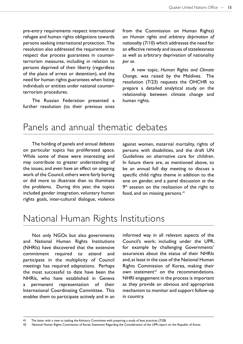pre-entry requirements respect international refugee and human rights obligations towards persons seeking international protection. The resolution also addressed the requirement to respect due process guarantees in counterterrorism measures, including in relation to persons deprived of their liberty (regardless of the place of arrest or detention), and the need for human rights guarantees when listing individuals or entities under national counterterrorism procedures.

The Russian Federation presented a further resolution (to their previous ones from the Commission on Human Rights) on *Human rights and arbitrary deprivation of nationality* (7/10) which addresses the need for an effective remedy and issues of statelessness as well as arbitrary deprivation of nationality *per se*.

A new topic, *Human Rights and Climate Change*, was raised by the Maldives. The resolution (7/23) requests the OHCHR to prepare a detailed analytical study on the relationship between climate change and human rights.

### Panels and annual thematic debates

The holding of panels and annual debates on particular topics has proliferated apace. While some of these were interesting and may contribute to greater understanding of the issues, and even have an effect on ongoing work of the Council, others were fairly boring or did more to illustrate than to illuminate the problems. During this year, the topics included gender integration, voluntary human rights goals, inter-cultural dialogue, violence

against women, maternal mortality, rights of persons with disabilities, and the draft UN Guidelines on alternative care for children. In future there are, as mentioned above, to be an annual full day meeting to discuss a specific child rights theme in addition to the one on gender, and a panel discussion at the 9<sup>th</sup> session on the realization of the right to food, and on missing persons. $41$ 

### National Human Rights Institutions

Not only NGOs but also governments and National Human Rights Institutions (NHRIs) have discovered that the extensive commitment required to attend and participate in the multiplicity of Council meetings has required adaptations. Perhaps the most successful to date have been the NHRIs, who have established in Geneva a permanent representation of their International Coordinating Committee. This enables them to participate actively and in an

informed way in all relevant aspects of the Council's work; including under the UPR, for example by challenging Governments' assurances about the status of their NHRIs and, at least in the case of the National Human Rights Commission of Korea, making their own statement $42$  on the recommendations. NHRI engagement in the process is important as they provide an obvious and appropriate mechanism to monitor and support follow-up in country.

<sup>41</sup> The latter with a view to tasking the Advisory Committee with preparing a study of best practices (7/28)

<sup>42</sup> National Human Rights Commission of Korea: Statement Regarding the Consideration of the UPR-report on the Republic of Korea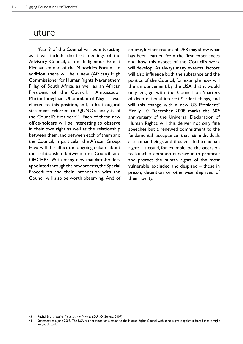### Future

Year 3 of the Council will be interesting as it will include the first meetings of the Advisory Council, of the Indigenous Expert Mechanism and of the Minorities Forum. In addition, there will be a new (African) High Commissioner for Human Rights, Navanethem Pillay of South Africa, as well as an African President of the Council. Ambassador Martin Ihoeghian Uhomoibhi of Nigeria was elected to this position, and, in his inaugural statement referred to QUNO's analysis of the Council's first year.<sup>43</sup> Each of these new office-holders will be interesting to observe in their own right as well as the relationship between them, and between each of them and the Council, in particular the African Group. How will this affect the ongoing debate about the relationship between the Council and OHCHR? With many new mandate-holders appointed through the new process, the Special Procedures and their inter-action with the Council will also be worth observing. And, of

course, further rounds of UPR may show what has been learned from the first experiences and how this aspect of the Council's work will develop. As always many external factors will also influence both the substance and the politics of the Council, for example how will the announcement by the USA that it would only engage with the Council on 'matters of deep national interest<sup>'44</sup> affect things, and will this change with a new US President? Finally, 10 December 2008 marks the 60<sup>th</sup> anniversary of the Universal Declaration of Human Rights: will this deliver not only fine speeches but a renewed commitment to the fundamental acceptance that *all* individuals are human beings and thus entitled to human rights. It could, for example, be the occasion to launch a common endeavour to promote and protect the human rights of the most vulnerable, excluded and despised – those in prison, detention or otherwise deprived of their liberty.

<sup>43</sup> Rachel Brett: *Neither Mountain nor Molehill* (QUNO, Geneva, 2007)

<sup>44</sup> Statement of 6 June 2008. The USA has not stood for election to the Human Rights Council with some suggesting that it feared that it might not get elected.